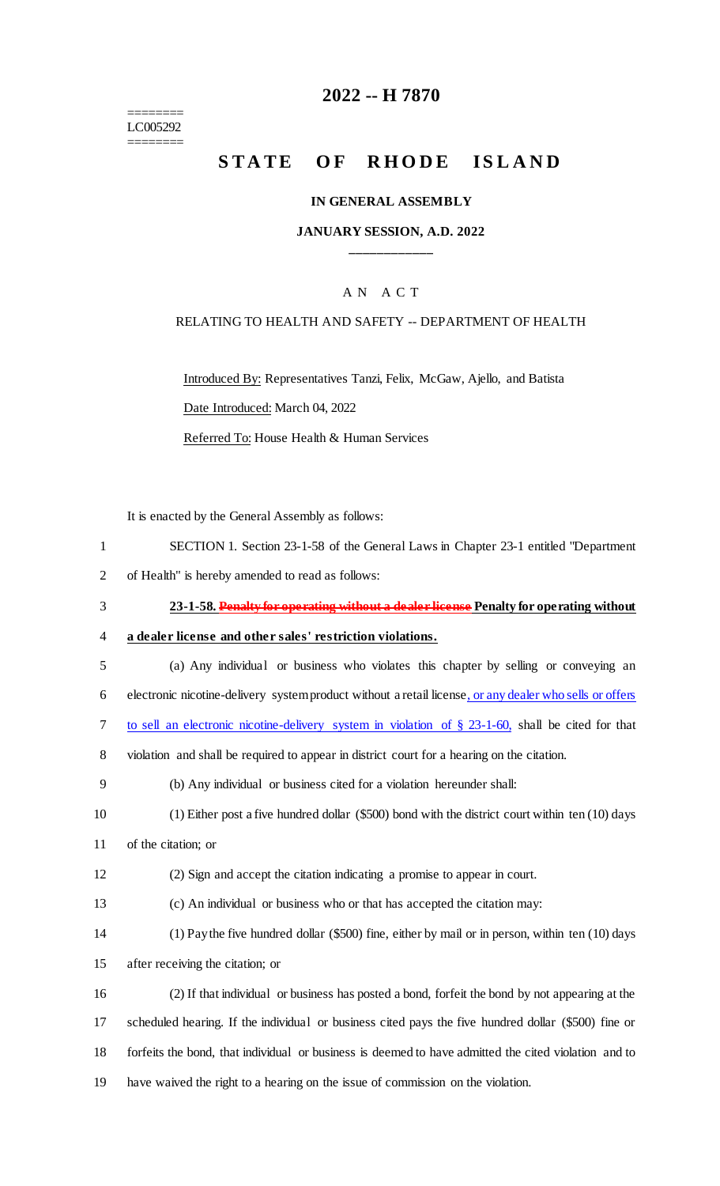======== LC005292 ========

# **2022 -- H 7870**

# **STATE OF RHODE ISLAND**

#### **IN GENERAL ASSEMBLY**

### **JANUARY SESSION, A.D. 2022 \_\_\_\_\_\_\_\_\_\_\_\_**

### A N A C T

#### RELATING TO HEALTH AND SAFETY -- DEPARTMENT OF HEALTH

Introduced By: Representatives Tanzi, Felix, McGaw, Ajello, and Batista Date Introduced: March 04, 2022

Referred To: House Health & Human Services

It is enacted by the General Assembly as follows:

- 1 SECTION 1. Section 23-1-58 of the General Laws in Chapter 23-1 entitled "Department
- 2 of Health" is hereby amended to read as follows:
- 3 **23-1-58. Penalty for operating without a dealer license Penalty for operating without**

4 **a dealer license and other sales' restriction violations.**

- 5 (a) Any individual or business who violates this chapter by selling or conveying an
- 6 electronic nicotine-delivery system product without a retail license, or any dealer who sells or offers
- 7 to sell an electronic nicotine-delivery system in violation of § 23-1-60, shall be cited for that
- 8 violation and shall be required to appear in district court for a hearing on the citation.
- 9 (b) Any individual or business cited for a violation hereunder shall:
- 10 (1) Either post a five hundred dollar (\$500) bond with the district court within ten (10) days
- 11 of the citation; or
- 12 (2) Sign and accept the citation indicating a promise to appear in court.
- 13 (c) An individual or business who or that has accepted the citation may:
- 14 (1) Pay the five hundred dollar (\$500) fine, either by mail or in person, within ten (10) days
- 15 after receiving the citation; or

 (2) If that individual or business has posted a bond, forfeit the bond by not appearing at the scheduled hearing. If the individual or business cited pays the five hundred dollar (\$500) fine or forfeits the bond, that individual or business is deemed to have admitted the cited violation and to have waived the right to a hearing on the issue of commission on the violation.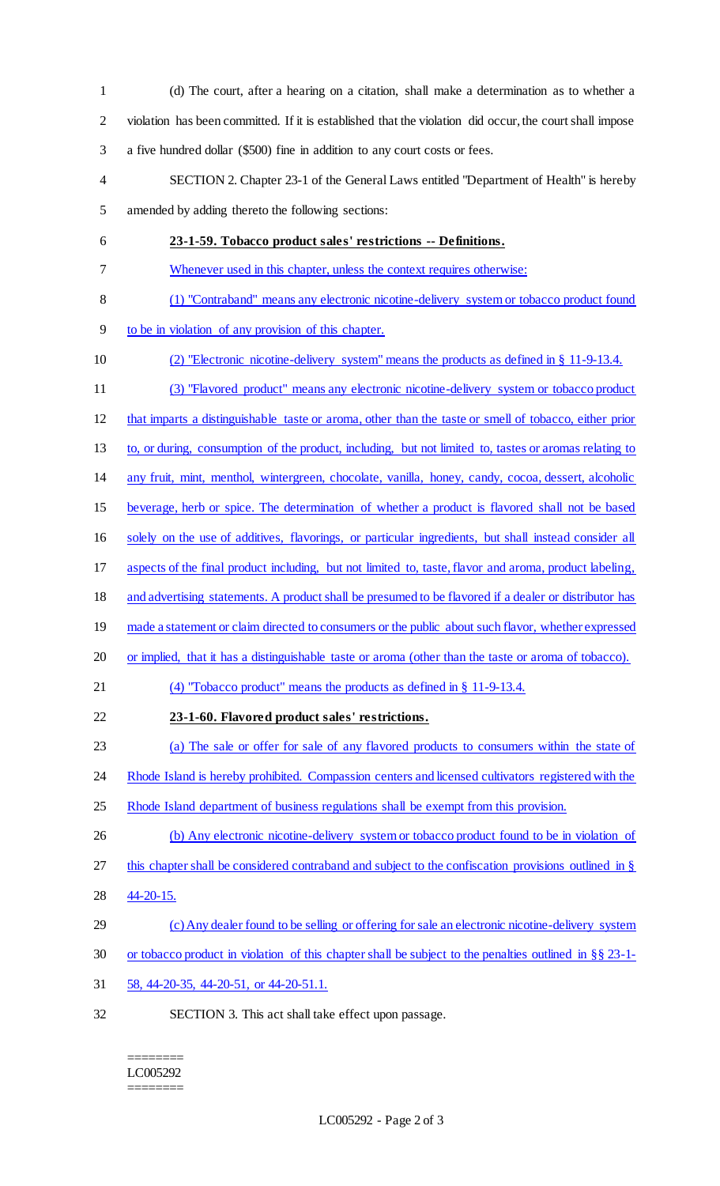(d) The court, after a hearing on a citation, shall make a determination as to whether a violation has been committed. If it is established that the violation did occur, the court shall impose a five hundred dollar (\$500) fine in addition to any court costs or fees. SECTION 2. Chapter 23-1 of the General Laws entitled "Department of Health" is hereby amended by adding thereto the following sections: **23-1-59. Tobacco product sales' restrictions -- Definitions.**  Whenever used in this chapter, unless the context requires otherwise: (1) "Contraband" means any electronic nicotine-delivery system or tobacco product found to be in violation of any provision of this chapter. (2) "Electronic nicotine-delivery system" means the products as defined in § 11-9-13.4. (3) "Flavored product" means any electronic nicotine-delivery system or tobacco product that imparts a distinguishable taste or aroma, other than the taste or smell of tobacco, either prior to, or during, consumption of the product, including, but not limited to, tastes or aromas relating to any fruit, mint, menthol, wintergreen, chocolate, vanilla, honey, candy, cocoa, dessert, alcoholic beverage, herb or spice. The determination of whether a product is flavored shall not be based solely on the use of additives, flavorings, or particular ingredients, but shall instead consider all aspects of the final product including, but not limited to, taste, flavor and aroma, product labeling, and advertising statements. A product shall be presumed to be flavored if a dealer or distributor has 19 made a statement or claim directed to consumers or the public about such flavor, whether expressed or implied, that it has a distinguishable taste or aroma (other than the taste or aroma of tobacco). (4) "Tobacco product" means the products as defined in § 11-9-13.4. **23-1-60. Flavored product sales' restrictions.**  (a) The sale or offer for sale of any flavored products to consumers within the state of 24 Rhode Island is hereby prohibited. Compassion centers and licensed cultivators registered with the 25 Rhode Island department of business regulations shall be exempt from this provision. 26 (b) Any electronic nicotine-delivery system or tobacco product found to be in violation of this chapter shall be considered contraband and subject to the confiscation provisions outlined in § 44-20-15. (c) Any dealer found to be selling or offering for sale an electronic nicotine-delivery system or tobacco product in violation of this chapter shall be subject to the penalties outlined in §§ 23-1- 58, 44-20-35, 44-20-51, or 44-20-51.1. SECTION 3. This act shall take effect upon passage.

#### ======== LC005292 ========